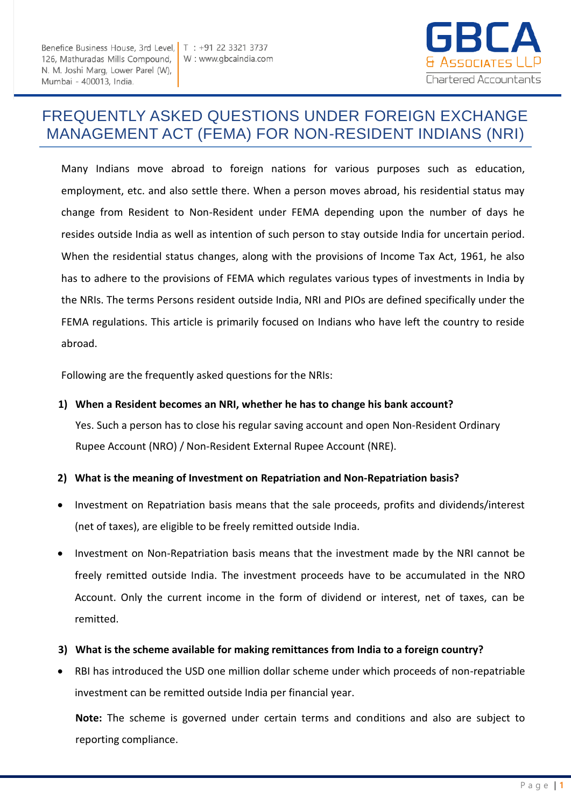Benefice Business House, 3rd Level, | T : +91 22 3321 3737 126, Mathuradas Mills Compound, N. M. Joshi Marg, Lower Parel (W), Mumbai - 400013, India.



# FREQUENTLY ASKED QUESTIONS UNDER FOREIGN EXCHANGE MANAGEMENT ACT (FEMA) FOR NON-RESIDENT INDIANS (NRI)

Many Indians move abroad to foreign nations for various purposes such as education, employment, etc. and also settle there. When a person moves abroad, his residential status may change from Resident to Non-Resident under FEMA depending upon the number of days he resides outside India as well as intention of such person to stay outside India for uncertain period. When the residential status changes, along with the provisions of Income Tax Act, 1961, he also has to adhere to the provisions of FEMA which regulates various types of investments in India by the NRIs. The terms Persons resident outside India, NRI and PIOs are defined specifically under the FEMA regulations. This article is primarily focused on Indians who have left the country to reside abroad.

Following are the frequently asked questions for the NRIs:

**1) When a Resident becomes an NRI, whether he has to change his bank account?** 

Yes. Such a person has to close his regular saving account and open Non-Resident Ordinary Rupee Account (NRO) / Non-Resident External Rupee Account (NRE).

### **2) What is the meaning of Investment on Repatriation and Non-Repatriation basis?**

- Investment on Repatriation basis means that the sale proceeds, profits and dividends/interest (net of taxes), are eligible to be freely remitted outside India.
- Investment on Non-Repatriation basis means that the investment made by the NRI cannot be freely remitted outside India. The investment proceeds have to be accumulated in the NRO Account. Only the current income in the form of dividend or interest, net of taxes, can be remitted.
- **3) What is the scheme available for making remittances from India to a foreign country?**
- RBI has introduced the USD one million dollar scheme under which proceeds of non-repatriable investment can be remitted outside India per financial year.

**Note:** The scheme is governed under certain terms and conditions and also are subject to reporting compliance.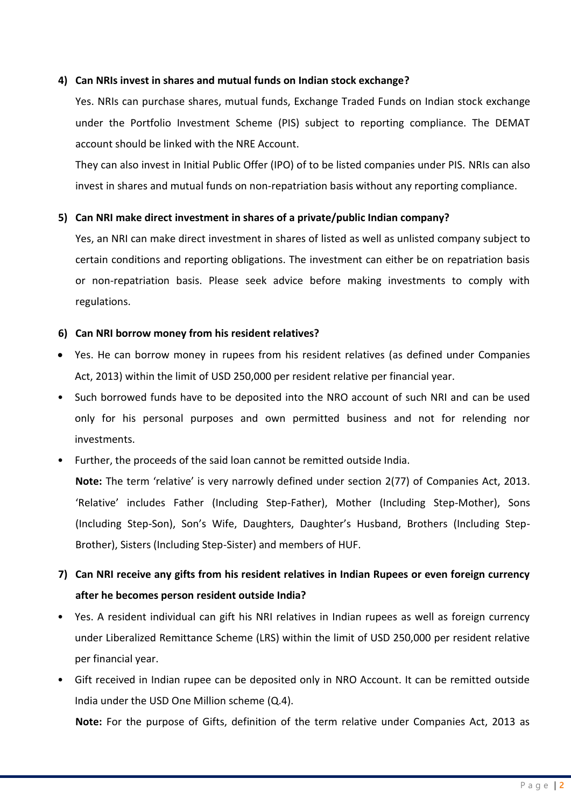### **4) Can NRIs invest in shares and mutual funds on Indian stock exchange?**

Yes. NRIs can purchase shares, mutual funds, Exchange Traded Funds on Indian stock exchange under the Portfolio Investment Scheme (PIS) subject to reporting compliance. The DEMAT account should be linked with the NRE Account.

They can also invest in Initial Public Offer (IPO) of to be listed companies under PIS. NRIs can also invest in shares and mutual funds on non-repatriation basis without any reporting compliance.

### **5) Can NRI make direct investment in shares of a private/public Indian company?**

Yes, an NRI can make direct investment in shares of listed as well as unlisted company subject to certain conditions and reporting obligations. The investment can either be on repatriation basis or non-repatriation basis. Please seek advice before making investments to comply with regulations.

### **6) Can NRI borrow money from his resident relatives?**

- Yes. He can borrow money in rupees from his resident relatives (as defined under Companies Act, 2013) within the limit of USD 250,000 per resident relative per financial year.
- Such borrowed funds have to be deposited into the NRO account of such NRI and can be used only for his personal purposes and own permitted business and not for relending nor investments.
- Further, the proceeds of the said loan cannot be remitted outside India.

**Note:** The term 'relative' is very narrowly defined under section 2(77) of Companies Act, 2013. 'Relative' includes Father (Including Step-Father), Mother (Including Step-Mother), Sons (Including Step-Son), Son's Wife, Daughters, Daughter's Husband, Brothers (Including Step-Brother), Sisters (Including Step-Sister) and members of HUF.

### **7) Can NRI receive any gifts from his resident relatives in Indian Rupees or even foreign currency after he becomes person resident outside India?**

- Yes. A resident individual can gift his NRI relatives in Indian rupees as well as foreign currency under Liberalized Remittance Scheme (LRS) within the limit of USD 250,000 per resident relative per financial year.
- Gift received in Indian rupee can be deposited only in NRO Account. It can be remitted outside India under the USD One Million scheme (Q.4).

**Note:** For the purpose of Gifts, definition of the term relative under Companies Act, 2013 as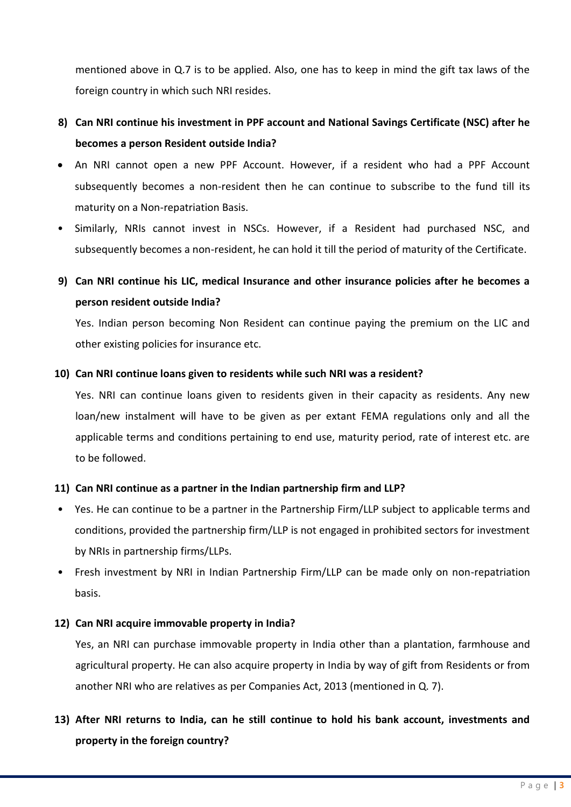mentioned above in Q.7 is to be applied. Also, one has to keep in mind the gift tax laws of the foreign country in which such NRI resides.

## **8) Can NRI continue his investment in PPF account and National Savings Certificate (NSC) after he becomes a person Resident outside India?**

- An NRI cannot open a new PPF Account. However, if a resident who had a PPF Account subsequently becomes a non-resident then he can continue to subscribe to the fund till its maturity on a Non-repatriation Basis.
- Similarly, NRIs cannot invest in NSCs. However, if a Resident had purchased NSC, and subsequently becomes a non-resident, he can hold it till the period of maturity of the Certificate.

## **9) Can NRI continue his LIC, medical Insurance and other insurance policies after he becomes a person resident outside India?**

Yes. Indian person becoming Non Resident can continue paying the premium on the LIC and other existing policies for insurance etc.

### **10) Can NRI continue loans given to residents while such NRI was a resident?**

Yes. NRI can continue loans given to residents given in their capacity as residents. Any new loan/new instalment will have to be given as per extant FEMA regulations only and all the applicable terms and conditions pertaining to end use, maturity period, rate of interest etc. are to be followed.

### **11) Can NRI continue as a partner in the Indian partnership firm and LLP?**

- Yes. He can continue to be a partner in the Partnership Firm/LLP subject to applicable terms and conditions, provided the partnership firm/LLP is not engaged in prohibited sectors for investment by NRIs in partnership firms/LLPs.
- Fresh investment by NRI in Indian Partnership Firm/LLP can be made only on non-repatriation basis.

### **12) Can NRI acquire immovable property in India?**

Yes, an NRI can purchase immovable property in India other than a plantation, farmhouse and agricultural property. He can also acquire property in India by way of gift from Residents or from another NRI who are relatives as per Companies Act, 2013 (mentioned in Q. 7).

## **13) After NRI returns to India, can he still continue to hold his bank account, investments and property in the foreign country?**